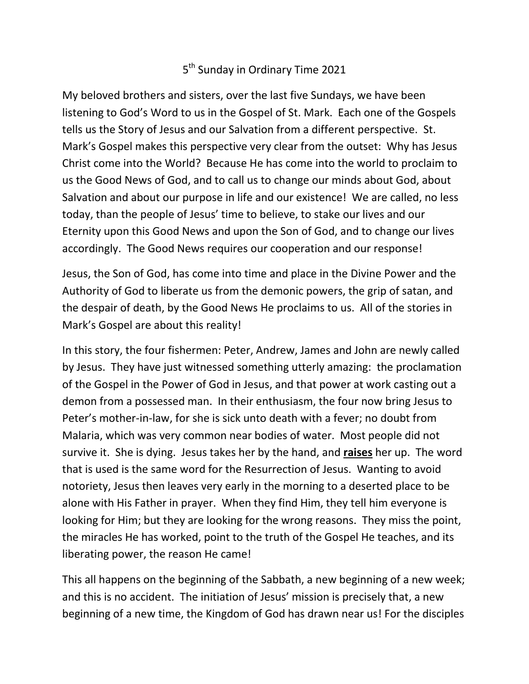## 5<sup>th</sup> Sunday in Ordinary Time 2021

My beloved brothers and sisters, over the last five Sundays, we have been listening to God's Word to us in the Gospel of St. Mark. Each one of the Gospels tells us the Story of Jesus and our Salvation from a different perspective. St. Mark's Gospel makes this perspective very clear from the outset: Why has Jesus Christ come into the World? Because He has come into the world to proclaim to us the Good News of God, and to call us to change our minds about God, about Salvation and about our purpose in life and our existence! We are called, no less today, than the people of Jesus' time to believe, to stake our lives and our Eternity upon this Good News and upon the Son of God, and to change our lives accordingly. The Good News requires our cooperation and our response!

Jesus, the Son of God, has come into time and place in the Divine Power and the Authority of God to liberate us from the demonic powers, the grip of satan, and the despair of death, by the Good News He proclaims to us. All of the stories in Mark's Gospel are about this reality!

In this story, the four fishermen: Peter, Andrew, James and John are newly called by Jesus. They have just witnessed something utterly amazing: the proclamation of the Gospel in the Power of God in Jesus, and that power at work casting out a demon from a possessed man. In their enthusiasm, the four now bring Jesus to Peter's mother-in-law, for she is sick unto death with a fever; no doubt from Malaria, which was very common near bodies of water. Most people did not survive it. She is dying. Jesus takes her by the hand, and **raises** her up. The word that is used is the same word for the Resurrection of Jesus. Wanting to avoid notoriety, Jesus then leaves very early in the morning to a deserted place to be alone with His Father in prayer. When they find Him, they tell him everyone is looking for Him; but they are looking for the wrong reasons. They miss the point, the miracles He has worked, point to the truth of the Gospel He teaches, and its liberating power, the reason He came!

This all happens on the beginning of the Sabbath, a new beginning of a new week; and this is no accident. The initiation of Jesus' mission is precisely that, a new beginning of a new time, the Kingdom of God has drawn near us! For the disciples